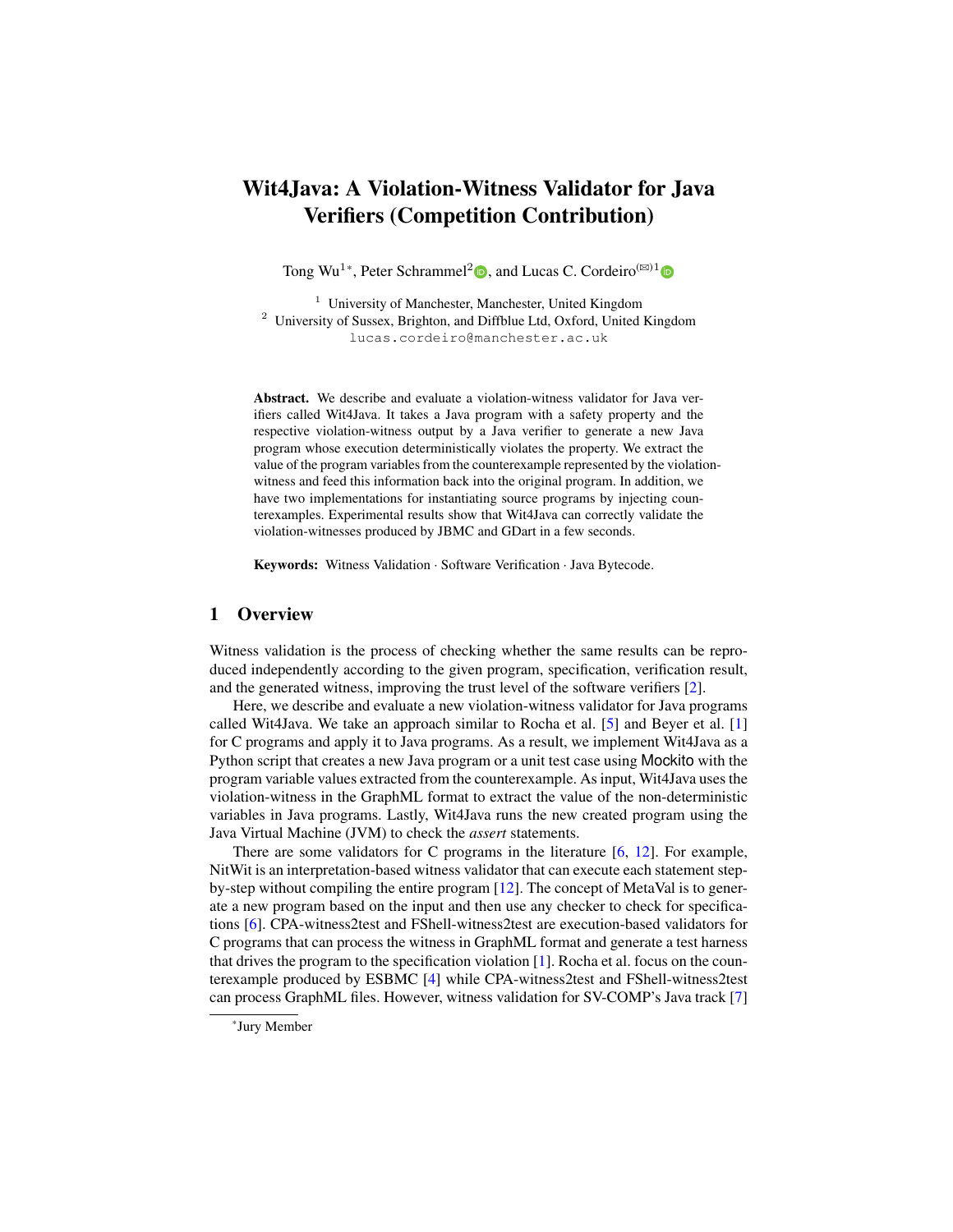# Wit4Java: A Violation-Witness Validator for Java Verifiers (Competition Contribution)

Tong Wu<sup>1</sup>\*[,](http://orcid.org/0000-0002-5713-1381) Peter Schrammel<sup>2</sup><sup>(10</sup>), and Lucas C. Cordeiro<sup>( $\boxtimes$ )1</sup>

<sup>1</sup> University of Manchester, Manchester, United Kingdom <sup>2</sup> University of Sussex, Brighton, and Diffblue Ltd, Oxford, United Kingdom lucas.cordeiro@manchester.ac.uk

Abstract. We describe and evaluate a violation-witness validator for Java verifiers called Wit4Java. It takes a Java program with a safety property and the respective violation-witness output by a Java verifier to generate a new Java program whose execution deterministically violates the property. We extract the value of the program variables from the counterexample represented by the violationwitness and feed this information back into the original program. In addition, we have two implementations for instantiating source programs by injecting counterexamples. Experimental results show that Wit4Java can correctly validate the violation-witnesses produced by JBMC and GDart in a few seconds.

Keywords: Witness Validation · Software Verification · Java Bytecode.

## 1 Overview

Witness validation is the process of checking whether the same results can be reproduced independently according to the given program, specification, verification result, and the generated witness, improving the trust level of the software verifiers [\[2\]](#page-4-0).

Here, we describe and evaluate a new violation-witness validator for Java programs called Wit4Java. We take an approach similar to Rocha et al. [\[5\]](#page-4-1) and Beyer et al. [\[1\]](#page-3-0) for C programs and apply it to Java programs. As a result, we implement Wit4Java as a Python script that creates a new Java program or a unit test case using Mockito with the program variable values extracted from the counterexample. As input, Wit4Java uses the violation-witness in the GraphML format to extract the value of the non-deterministic variables in Java programs. Lastly, Wit4Java runs the new created program using the Java Virtual Machine (JVM) to check the *assert* statements.

There are some validators for C programs in the literature [\[6,](#page-4-2) [12\]](#page-4-3). For example, NitWit is an interpretation-based witness validator that can execute each statement stepby-step without compiling the entire program [\[12\]](#page-4-3). The concept of MetaVal is to generate a new program based on the input and then use any checker to check for specifications [\[6\]](#page-4-2). CPA-witness2test and FShell-witness2test are execution-based validators for C programs that can process the witness in GraphML format and generate a test harness that drives the program to the specification violation [\[1\]](#page-3-0). Rocha et al. focus on the counterexample produced by ESBMC [\[4\]](#page-4-4) while CPA-witness2test and FShell-witness2test can process GraphML files. However, witness validation for SV-COMP's Java track [\[7\]](#page-4-5)

<sup>\*</sup>Jury Member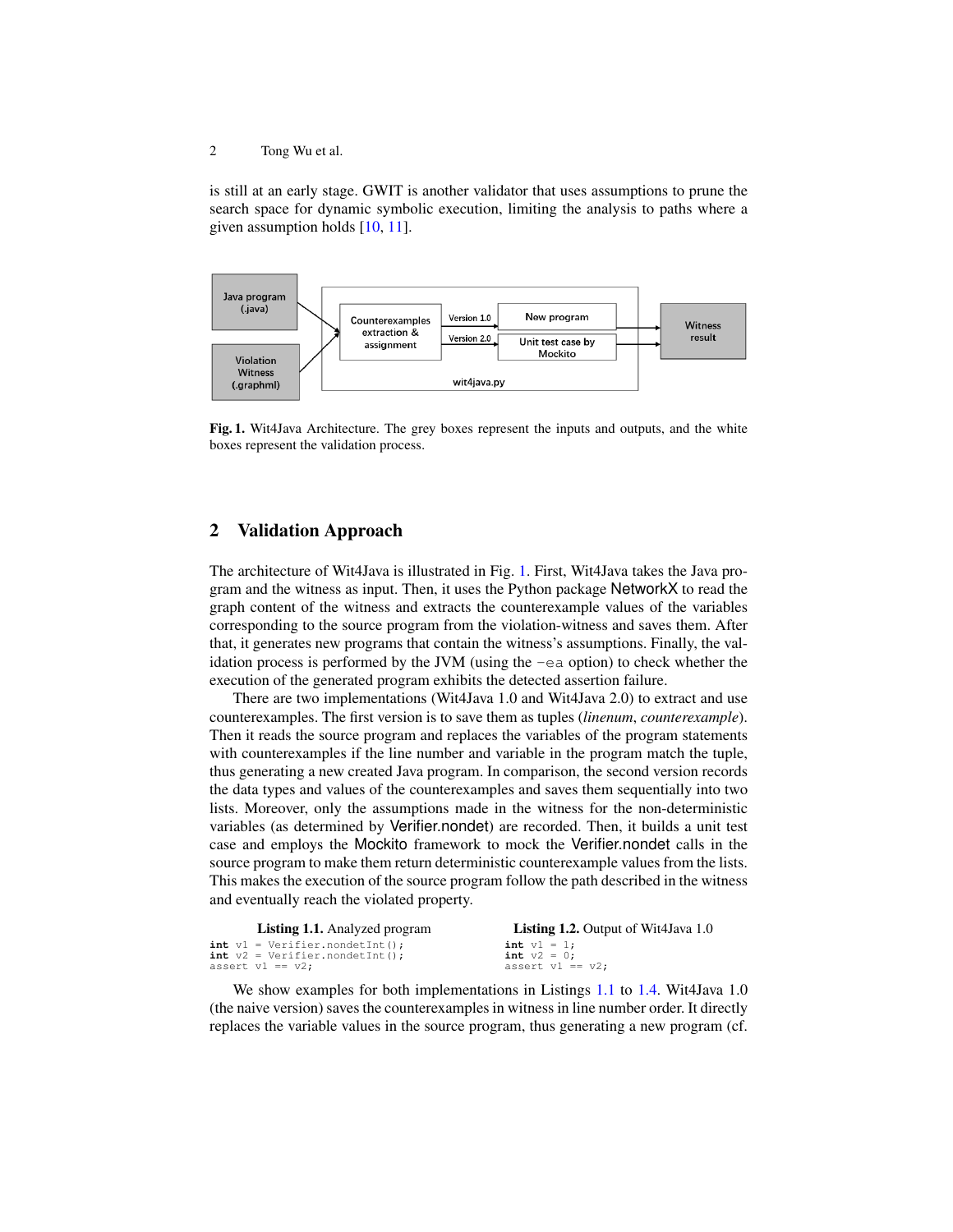2 Tong Wu et al.

is still at an early stage. GWIT is another validator that uses assumptions to prune the search space for dynamic symbolic execution, limiting the analysis to paths where a given assumption holds [\[10,](#page-4-6) [11\]](#page-4-7).



<span id="page-1-0"></span>Fig. 1. Wit4Java Architecture. The grey boxes represent the inputs and outputs, and the white boxes represent the validation process.

#### 2 Validation Approach

The architecture of Wit4Java is illustrated in Fig. [1.](#page-1-0) First, Wit4Java takes the Java program and the witness as input. Then, it uses the Python package NetworkX to read the graph content of the witness and extracts the counterexample values of the variables corresponding to the source program from the violation-witness and saves them. After that, it generates new programs that contain the witness's assumptions. Finally, the validation process is performed by the JVM (using the  $-ea$  option) to check whether the execution of the generated program exhibits the detected assertion failure.

There are two implementations (Wit4Java 1.0 and Wit4Java 2.0) to extract and use counterexamples. The first version is to save them as tuples (*linenum*, *counterexample*). Then it reads the source program and replaces the variables of the program statements with counterexamples if the line number and variable in the program match the tuple, thus generating a new created Java program. In comparison, the second version records the data types and values of the counterexamples and saves them sequentially into two lists. Moreover, only the assumptions made in the witness for the non-deterministic variables (as determined by Verifier.nondet) are recorded. Then, it builds a unit test case and employs the Mockito framework to mock the Verifier.nondet calls in the source program to make them return deterministic counterexample values from the lists. This makes the execution of the source program follow the path described in the witness and eventually reach the violated property.

<span id="page-1-2"></span><span id="page-1-1"></span>

| <b>Listing 1.1.</b> Analyzed program | <b>Listing 1.2.</b> Output of Wit4Java 1.0 |
|--------------------------------------|--------------------------------------------|
| $int v1 = Verifyer.nondetInt()$ ;    | $int v1 = 1$ ;                             |
| $int v2 = Verifyr.nondetInt()$ ;     | <b>int</b> $v2 = 0$ :                      |
| assert $v1 == v2$ ;                  | assert $v1 == v2$ :                        |

We show examples for both implementations in Listings [1.1](#page-1-1) to [1.4.](#page-2-0) Wit4Java 1.0 (the naive version) saves the counterexamples in witness in line number order. It directly replaces the variable values in the source program, thus generating a new program (cf.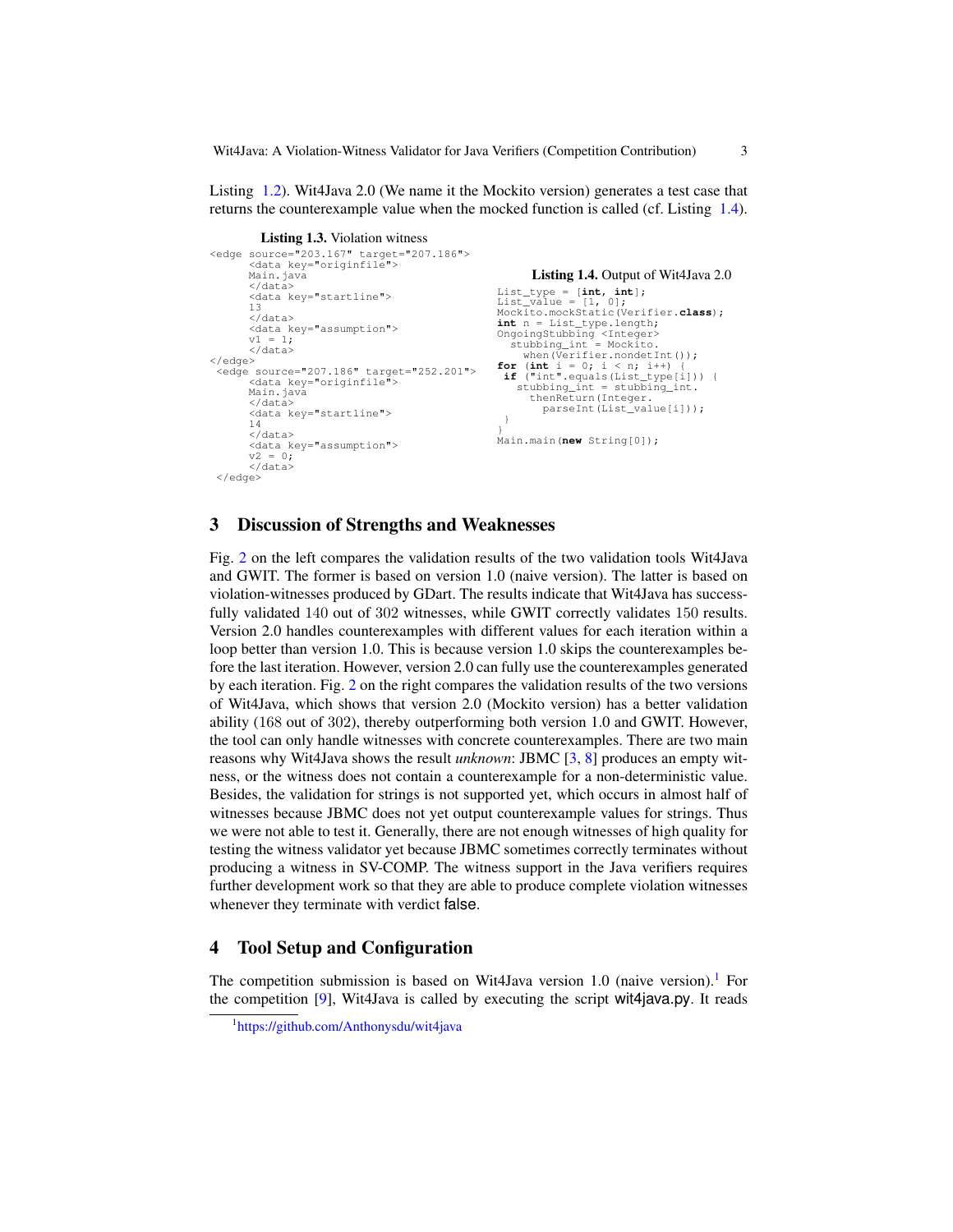Wit4Java: A Violation-Witness Validator for Java Verifiers (Competition Contribution) 3

Listing [1.2\)](#page-1-2). Wit4Java 2.0 (We name it the Mockito version) generates a test case that returns the counterexample value when the mocked function is called (cf. Listing [1.4\)](#page-2-0).

```
Listing 1.3. Violation witness
<edge source="203.167" target="207.186">
       <data key="originfile">
       Main.java
       \langle/data>
       <data key="startline">
       13
       </data>
       <data key="assumption">
       v1 = 1:
       </data>
</edge>
 <edge source="207.186" target="252.201">
       <data key="originfile">
       Main.java
       </data>
       <data key="startline">
       14
        </data>
       <data key="assumption">
       v^2 = 0:
       </data>
 \langle/edge>
                                                               Listing 1.4. Output of Wit4Java 2.0
                                                        List_type = [int, int];
                                                        List_value = [1, 0];
Mockito.mockStatic(Verifier.class);
                                                        int n = List_type.length;
                                                       OngoingStubbing <Integer><br>stubbing_int = Mockito.
                                                           stubbing_int = Mockito.
when(Verifier.nondetInt());
                                                        for (int i = 0; i < n; i++) {<br>
if ("int".equals(List_type[i])) {
                                                            stubbing_int = stubbing_int.
thenReturn(Integer.
                                                                parseInt(List_value[i]));
                                                         }
                                                        }
Main.main(new String[0]);
```
### 3 Discussion of Strengths and Weaknesses

Fig. [2](#page-3-1) on the left compares the validation results of the two validation tools Wit4Java and GWIT. The former is based on version 1.0 (naive version). The latter is based on violation-witnesses produced by GDart. The results indicate that Wit4Java has successfully validated 140 out of 302 witnesses, while GWIT correctly validates 150 results. Version 2.0 handles counterexamples with different values for each iteration within a loop better than version 1.0. This is because version 1.0 skips the counterexamples before the last iteration. However, version 2.0 can fully use the counterexamples generated by each iteration. Fig. [2](#page-3-1) on the right compares the validation results of the two versions of Wit4Java, which shows that version 2.0 (Mockito version) has a better validation ability (168 out of 302), thereby outperforming both version 1.0 and GWIT. However, the tool can only handle witnesses with concrete counterexamples. There are two main reasons why Wit4Java shows the result *unknown*: JBMC [\[3,](#page-4-8) [8\]](#page-4-9) produces an empty witness, or the witness does not contain a counterexample for a non-deterministic value. Besides, the validation for strings is not supported yet, which occurs in almost half of witnesses because JBMC does not yet output counterexample values for strings. Thus we were not able to test it. Generally, there are not enough witnesses of high quality for testing the witness validator yet because JBMC sometimes correctly terminates without producing a witness in SV-COMP. The witness support in the Java verifiers requires further development work so that they are able to produce complete violation witnesses whenever they terminate with verdict false.

#### 4 Tool Setup and Configuration

The competition submission is based on Wit4Java version [1](#page-2-1).0 (naive version).<sup>1</sup> For the competition [\[9\]](#page-4-10), Wit4Java is called by executing the script wit4java.py. It reads

<span id="page-2-1"></span><sup>1</sup> <https://github.com/Anthonysdu/wit4java>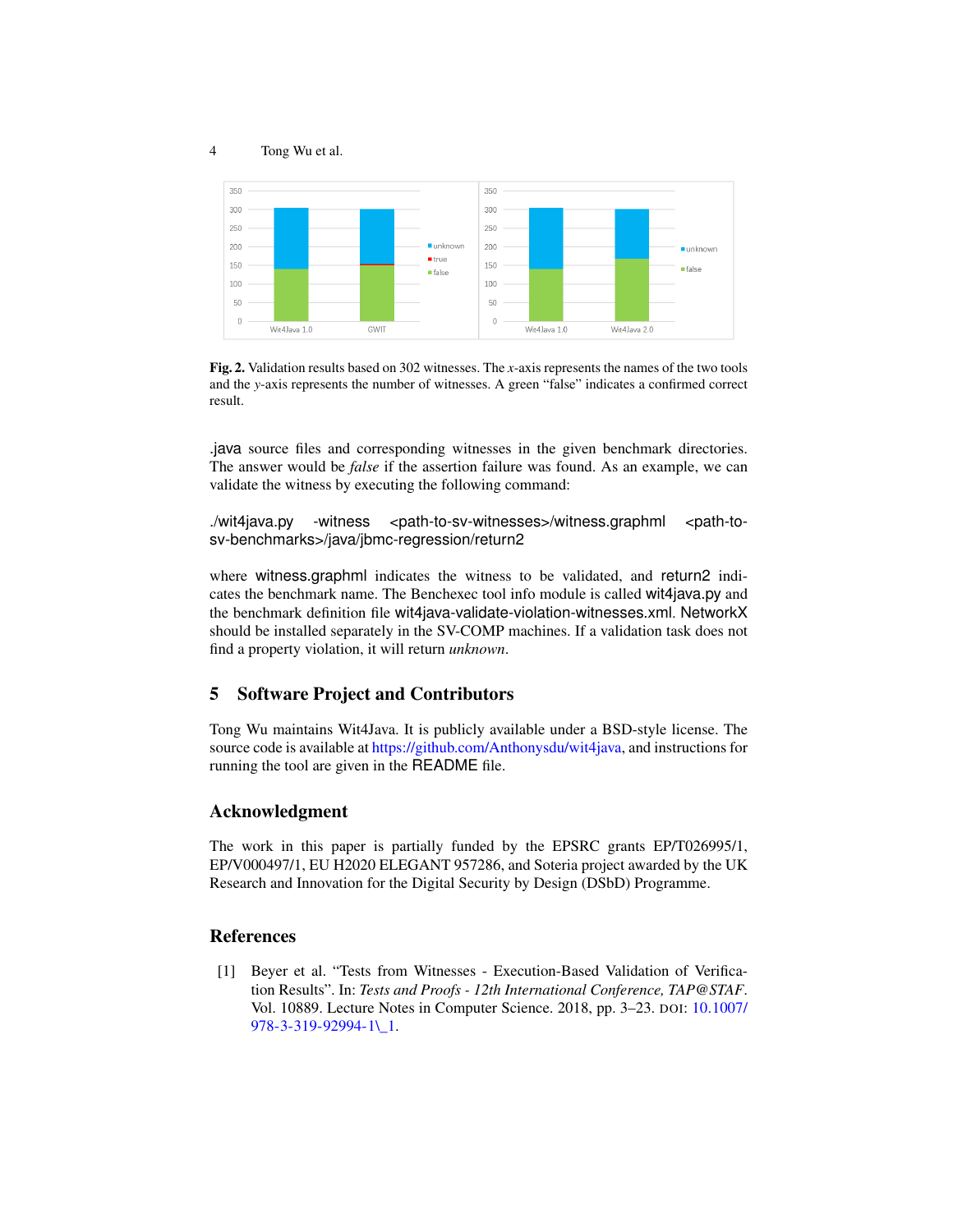#### 4 Tong Wu et al.



<span id="page-3-1"></span>Fig. 2. Validation results based on 302 witnesses. The *x*-axis represents the names of the two tools and the *y*-axis represents the number of witnesses. A green "false" indicates a confirmed correct result.

.java source files and corresponding witnesses in the given benchmark directories. The answer would be *false* if the assertion failure was found. As an example, we can validate the witness by executing the following command:

./wit4java.py -witness <path-to-sv-witnesses>/witness.graphml <path-tosv-benchmarks>/java/jbmc-regression/return2

where witness.graphml indicates the witness to be validated, and return2 indicates the benchmark name. The Benchexec tool info module is called wit4java.py and the benchmark definition file wit4java-validate-violation-witnesses.xml. NetworkX should be installed separately in the SV-COMP machines. If a validation task does not find a property violation, it will return *unknown*.

# 5 Software Project and Contributors

Tong Wu maintains Wit4Java. It is publicly available under a BSD-style license. The source code is available at [https://github.com/Anthonysdu/wit4java,](https://github.com/Anthonysdu/wit4java) and instructions for running the tool are given in the README file.

### Acknowledgment

The work in this paper is partially funded by the EPSRC grants EP/T026995/1, EP/V000497/1, EU H2020 ELEGANT 957286, and Soteria project awarded by the UK Research and Innovation for the Digital Security by Design (DSbD) Programme.

#### References

<span id="page-3-0"></span>[1] Beyer et al. "Tests from Witnesses - Execution-Based Validation of Verification Results". In: *Tests and Proofs - 12th International Conference, TAP@STAF*. Vol. 10889. Lecture Notes in Computer Science. 2018, pp. 3–23. DOI: [10.1007/](https://doi.org/10.1007/978-3-319-92994-1\_1) [978-3-319-92994-1\\\_1.](https://doi.org/10.1007/978-3-319-92994-1\_1)